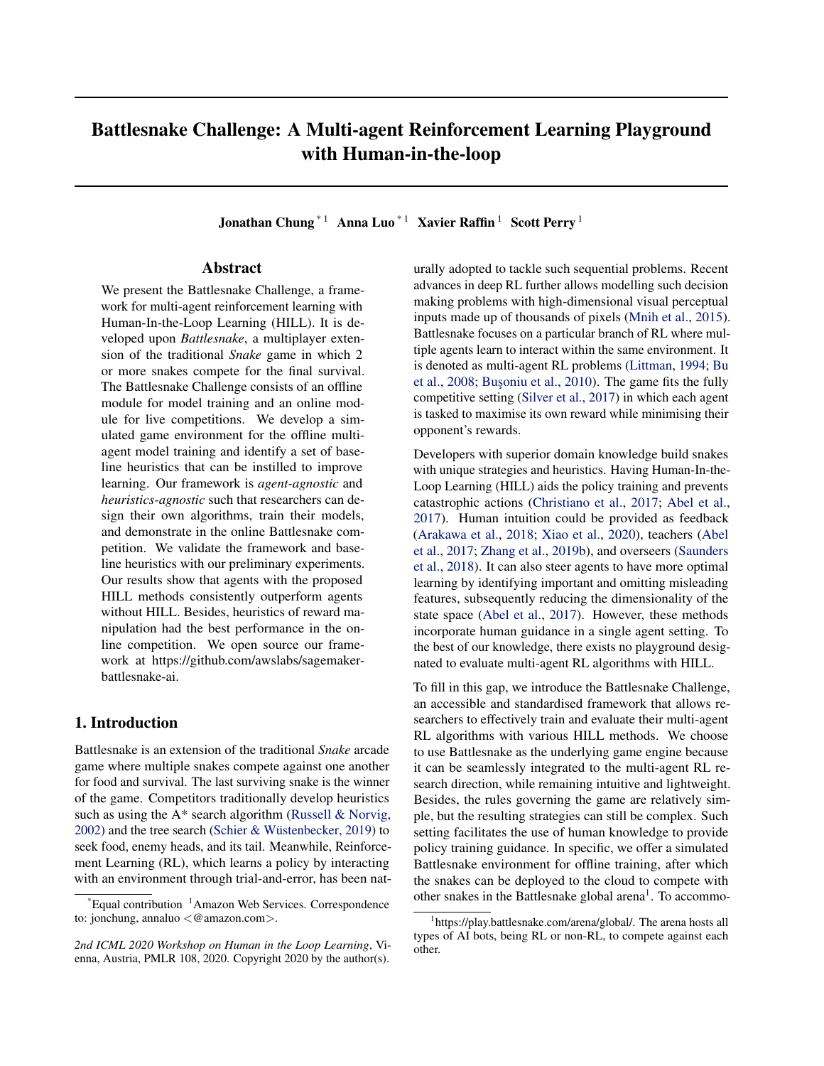# Battlesnake Challenge: A Multi-agent Reinforcement Learning Playground with Human-in-the-loop

Jonathan Chung<sup>\*1</sup> Anna Luo<sup>\*1</sup> Xavier Raffin<sup>1</sup> Scott Perry<sup>1</sup>

# Abstract

We present the Battlesnake Challenge, a framework for multi-agent reinforcement learning with Human-In-the-Loop Learning (HILL). It is developed upon *Battlesnake*, a multiplayer extension of the traditional *Snake* game in which 2 or more snakes compete for the final survival. The Battlesnake Challenge consists of an offline module for model training and an online module for live competitions. We develop a simulated game environment for the offline multiagent model training and identify a set of baseline heuristics that can be instilled to improve learning. Our framework is *agent-agnostic* and *heuristics-agnostic* such that researchers can design their own algorithms, train their models, and demonstrate in the online Battlesnake competition. We validate the framework and baseline heuristics with our preliminary experiments. Our results show that agents with the proposed HILL methods consistently outperform agents without HILL. Besides, heuristics of reward manipulation had the best performance in the online competition. We open source our framework at https://github.com/awslabs/sagemakerbattlesnake-ai.

# 1. Introduction

Battlesnake is an extension of the traditional *Snake* arcade game where multiple snakes compete against one another for food and survival. The last surviving snake is the winner of the game. Competitors traditionally develop heuristics such as using the A\* search algorithm [\(Russell & Norvig,](#page-8-0)  $2002$ ) and the tree search (Schier & Wüstenbecker, [2019\)](#page-8-0) to seek food, enemy heads, and its tail. Meanwhile, Reinforcement Learning (RL), which learns a policy by interacting with an environment through trial-and-error, has been naturally adopted to tackle such sequential problems. Recent advances in deep RL further allows modelling such decision making problems with high-dimensional visual perceptual inputs made up of thousands of pixels [\(Mnih et al.,](#page-7-0) [2015\)](#page-7-0). Battlesnake focuses on a particular branch of RL where multiple agents learn to interact within the same environment. It is denoted as multi-agent RL problems [\(Littman,](#page-7-0) [1994;](#page-7-0) [Bu](#page-6-0) [et al.,](#page-6-0) [2008;](#page-6-0) Busoniu et al., [2010\)](#page-7-0). The game fits the fully competitive setting [\(Silver et al.,](#page-8-0) [2017\)](#page-8-0) in which each agent is tasked to maximise its own reward while minimising their opponent's rewards.

Developers with superior domain knowledge build snakes with unique strategies and heuristics. Having Human-In-the-Loop Learning (HILL) aids the policy training and prevents catastrophic actions [\(Christiano et al.,](#page-7-0) [2017;](#page-7-0) [Abel et al.,](#page-6-0) [2017\)](#page-6-0). Human intuition could be provided as feedback [\(Arakawa et al.,](#page-6-0) [2018;](#page-6-0) [Xiao et al.,](#page-8-0) [2020\)](#page-8-0), teachers [\(Abel](#page-6-0) [et al.,](#page-6-0) [2017;](#page-6-0) [Zhang et al.,](#page-8-0) [2019b\)](#page-8-0), and overseers [\(Saunders](#page-8-0) [et al.,](#page-8-0) [2018\)](#page-8-0). It can also steer agents to have more optimal learning by identifying important and omitting misleading features, subsequently reducing the dimensionality of the state space [\(Abel et al.,](#page-6-0) [2017\)](#page-6-0). However, these methods incorporate human guidance in a single agent setting. To the best of our knowledge, there exists no playground designated to evaluate multi-agent RL algorithms with HILL.

To fill in this gap, we introduce the Battlesnake Challenge, an accessible and standardised framework that allows researchers to effectively train and evaluate their multi-agent RL algorithms with various HILL methods. We choose to use Battlesnake as the underlying game engine because it can be seamlessly integrated to the multi-agent RL research direction, while remaining intuitive and lightweight. Besides, the rules governing the game are relatively simple, but the resulting strategies can still be complex. Such setting facilitates the use of human knowledge to provide policy training guidance. In specific, we offer a simulated Battlesnake environment for offline training, after which the snakes can be deployed to the cloud to compete with other snakes in the Battlesnake global arena<sup>1</sup>. To accommo-

Equal contribution  $1$ Amazon Web Services. Correspondence to: jonchung, annaluo <@amazon.com>.

*<sup>2</sup>nd ICML 2020 Workshop on Human in the Loop Learning*, Vienna, Austria, PMLR 108, 2020. Copyright 2020 by the author(s).

<sup>&</sup>lt;sup>1</sup>https://play.battlesnake.com/arena/global/. The arena hosts all types of AI bots, being RL or non-RL, to compete against each other.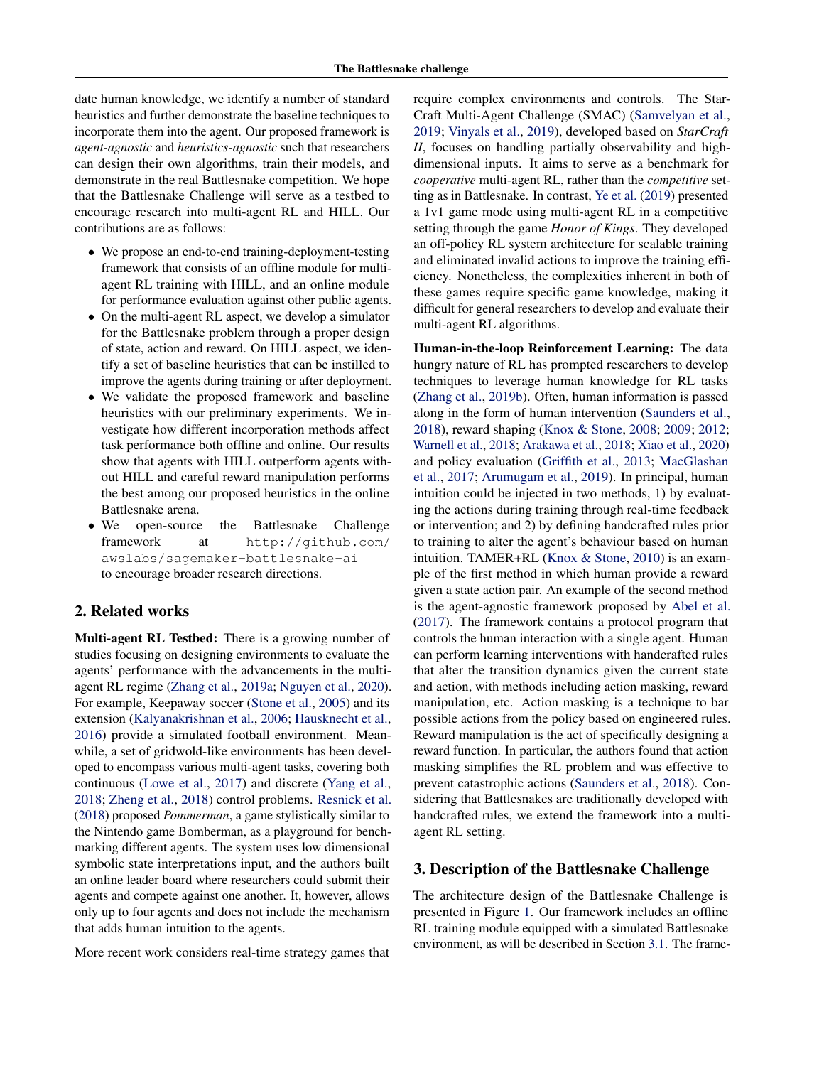date human knowledge, we identify a number of standard heuristics and further demonstrate the baseline techniques to incorporate them into the agent. Our proposed framework is *agent-agnostic* and *heuristics-agnostic* such that researchers can design their own algorithms, train their models, and demonstrate in the real Battlesnake competition. We hope that the Battlesnake Challenge will serve as a testbed to encourage research into multi-agent RL and HILL. Our contributions are as follows:

- We propose an end-to-end training-deployment-testing framework that consists of an offline module for multiagent RL training with HILL, and an online module for performance evaluation against other public agents.
- On the multi-agent RL aspect, we develop a simulator for the Battlesnake problem through a proper design of state, action and reward. On HILL aspect, we identify a set of baseline heuristics that can be instilled to improve the agents during training or after deployment.
- We validate the proposed framework and baseline heuristics with our preliminary experiments. We investigate how different incorporation methods affect task performance both offline and online. Our results show that agents with HILL outperform agents without HILL and careful reward manipulation performs the best among our proposed heuristics in the online Battlesnake arena.
- We open-source the Battlesnake Challenge framework at http://github.com/ awslabs/sagemaker-battlesnake-ai to encourage broader research directions.

# 2. Related works

Multi-agent RL Testbed: There is a growing number of studies focusing on designing environments to evaluate the agents' performance with the advancements in the multiagent RL regime [\(Zhang et al.,](#page-8-0) [2019a;](#page-8-0) [Nguyen et al.,](#page-7-0) [2020\)](#page-7-0). For example, Keepaway soccer [\(Stone et al.,](#page-8-0) [2005\)](#page-8-0) and its extension [\(Kalyanakrishnan et al.,](#page-7-0) [2006;](#page-7-0) [Hausknecht et al.,](#page-7-0) [2016\)](#page-7-0) provide a simulated football environment. Meanwhile, a set of gridwold-like environments has been developed to encompass various multi-agent tasks, covering both continuous [\(Lowe et al.,](#page-7-0) [2017\)](#page-7-0) and discrete [\(Yang et al.,](#page-8-0) [2018;](#page-8-0) [Zheng et al.,](#page-8-0) [2018\)](#page-8-0) control problems. [Resnick et al.](#page-7-0) [\(2018\)](#page-7-0) proposed *Pommerman*, a game stylistically similar to the Nintendo game Bomberman, as a playground for benchmarking different agents. The system uses low dimensional symbolic state interpretations input, and the authors built an online leader board where researchers could submit their agents and compete against one another. It, however, allows only up to four agents and does not include the mechanism that adds human intuition to the agents.

More recent work considers real-time strategy games that

require complex environments and controls. The Star-Craft Multi-Agent Challenge (SMAC) [\(Samvelyan et al.,](#page-8-0) [2019;](#page-8-0) [Vinyals et al.,](#page-8-0) [2019\)](#page-8-0), developed based on *StarCraft II*, focuses on handling partially observability and highdimensional inputs. It aims to serve as a benchmark for *cooperative* multi-agent RL, rather than the *competitive* setting as in Battlesnake. In contrast, [Ye et al.](#page-8-0) [\(2019\)](#page-8-0) presented a 1v1 game mode using multi-agent RL in a competitive setting through the game *Honor of Kings*. They developed an off-policy RL system architecture for scalable training and eliminated invalid actions to improve the training efficiency. Nonetheless, the complexities inherent in both of these games require specific game knowledge, making it difficult for general researchers to develop and evaluate their multi-agent RL algorithms.

Human-in-the-loop Reinforcement Learning: The data hungry nature of RL has prompted researchers to develop techniques to leverage human knowledge for RL tasks [\(Zhang et al.,](#page-8-0) [2019b\)](#page-8-0). Often, human information is passed along in the form of human intervention [\(Saunders et al.,](#page-8-0) [2018\)](#page-8-0), reward shaping [\(Knox & Stone,](#page-7-0) [2008;](#page-7-0) [2009;](#page-7-0) [2012;](#page-7-0) [Warnell et al.,](#page-8-0) [2018;](#page-8-0) [Arakawa et al.,](#page-6-0) [2018;](#page-6-0) [Xiao et al.,](#page-8-0) [2020\)](#page-8-0) and policy evaluation [\(Griffith et al.,](#page-7-0) [2013;](#page-7-0) [MacGlashan](#page-7-0) [et al.,](#page-7-0) [2017;](#page-7-0) [Arumugam et al.,](#page-6-0) [2019\)](#page-6-0). In principal, human intuition could be injected in two methods, 1) by evaluating the actions during training through real-time feedback or intervention; and 2) by defining handcrafted rules prior to training to alter the agent's behaviour based on human intuition. TAMER+RL [\(Knox & Stone,](#page-7-0) [2010\)](#page-7-0) is an example of the first method in which human provide a reward given a state action pair. An example of the second method is the agent-agnostic framework proposed by [Abel et al.](#page-6-0) [\(2017\)](#page-6-0). The framework contains a protocol program that controls the human interaction with a single agent. Human can perform learning interventions with handcrafted rules that alter the transition dynamics given the current state and action, with methods including action masking, reward manipulation, etc. Action masking is a technique to bar possible actions from the policy based on engineered rules. Reward manipulation is the act of specifically designing a reward function. In particular, the authors found that action masking simplifies the RL problem and was effective to prevent catastrophic actions [\(Saunders et al.,](#page-8-0) [2018\)](#page-8-0). Considering that Battlesnakes are traditionally developed with handcrafted rules, we extend the framework into a multiagent RL setting.

## 3. Description of the Battlesnake Challenge

The architecture design of the Battlesnake Challenge is presented in Figure [1.](#page-2-0) Our framework includes an offline RL training module equipped with a simulated Battlesnake environment, as will be described in Section [3.1.](#page-2-0) The frame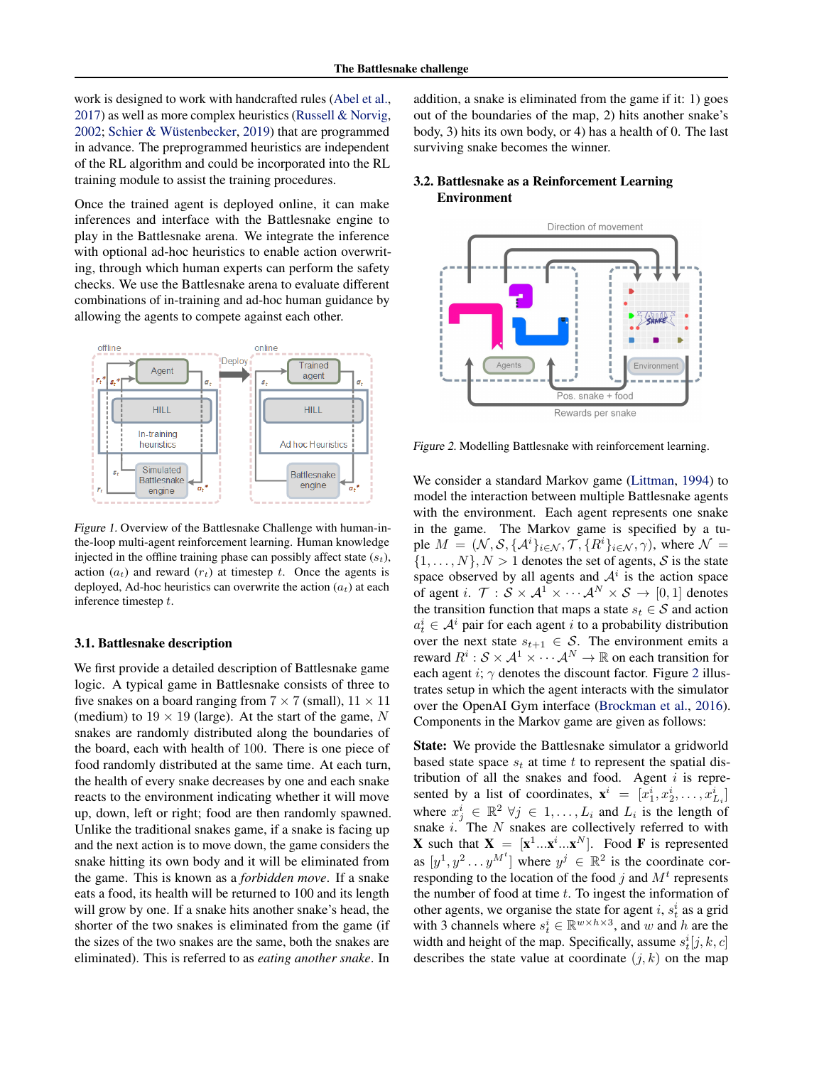<span id="page-2-0"></span>work is designed to work with handcrafted rules [\(Abel et al.,](#page-6-0) [2017\)](#page-6-0) as well as more complex heuristics [\(Russell & Norvig,](#page-8-0) [2002;](#page-8-0) Schier & Wüstenbecker, [2019\)](#page-8-0) that are programmed in advance. The preprogrammed heuristics are independent of the RL algorithm and could be incorporated into the RL training module to assist the training procedures.

Once the trained agent is deployed online, it can make inferences and interface with the Battlesnake engine to play in the Battlesnake arena. We integrate the inference with optional ad-hoc heuristics to enable action overwriting, through which human experts can perform the safety checks. We use the Battlesnake arena to evaluate different combinations of in-training and ad-hoc human guidance by allowing the agents to compete against each other.



Figure 1. Overview of the Battlesnake Challenge with human-inthe-loop multi-agent reinforcement learning. Human knowledge injected in the offline training phase can possibly affect state  $(s_t)$ , action  $(a_t)$  and reward  $(r_t)$  at timestep t. Once the agents is deployed, Ad-hoc heuristics can overwrite the action  $(a_t)$  at each inference timestep t.

#### 3.1. Battlesnake description

We first provide a detailed description of Battlesnake game logic. A typical game in Battlesnake consists of three to five snakes on a board ranging from  $7 \times 7$  (small),  $11 \times 11$ (medium) to  $19 \times 19$  (large). At the start of the game, N snakes are randomly distributed along the boundaries of the board, each with health of 100. There is one piece of food randomly distributed at the same time. At each turn, the health of every snake decreases by one and each snake reacts to the environment indicating whether it will move up, down, left or right; food are then randomly spawned. Unlike the traditional snakes game, if a snake is facing up and the next action is to move down, the game considers the snake hitting its own body and it will be eliminated from the game. This is known as a *forbidden move*. If a snake eats a food, its health will be returned to 100 and its length will grow by one. If a snake hits another snake's head, the shorter of the two snakes is eliminated from the game (if the sizes of the two snakes are the same, both the snakes are eliminated). This is referred to as *eating another snake*. In

addition, a snake is eliminated from the game if it: 1) goes out of the boundaries of the map, 2) hits another snake's body, 3) hits its own body, or 4) has a health of 0. The last surviving snake becomes the winner.

## 3.2. Battlesnake as a Reinforcement Learning Environment



Figure 2. Modelling Battlesnake with reinforcement learning.

We consider a standard Markov game [\(Littman,](#page-7-0) [1994\)](#page-7-0) to model the interaction between multiple Battlesnake agents with the environment. Each agent represents one snake in the game. The Markov game is specified by a tuple  $M = (\mathcal{N}, \mathcal{S}, \{\mathcal{A}^i\}_{i \in \mathcal{N}}, \mathcal{T}, \{R^i\}_{i \in \mathcal{N}}, \gamma)$ , where  $\mathcal{N} =$  $\{1, \ldots, N\}, N > 1$  denotes the set of agents, S is the state space observed by all agents and  $A^i$  is the action space of agent i.  $\mathcal{T}: \mathcal{S} \times \mathcal{A}^1 \times \cdots \mathcal{A}^N \times \mathcal{S} \rightarrow [0,1]$  denotes the transition function that maps a state  $s_t \in S$  and action  $a_t^i \in A^i$  pair for each agent i to a probability distribution over the next state  $s_{t+1} \in S$ . The environment emits a reward  $R^i: \mathcal{S} \times \mathcal{A}^1 \times \cdots \mathcal{A}^N \to \mathbb{R}$  on each transition for each agent i;  $\gamma$  denotes the discount factor. Figure 2 illustrates setup in which the agent interacts with the simulator over the OpenAI Gym interface [\(Brockman et al.,](#page-6-0) [2016\)](#page-6-0). Components in the Markov game are given as follows:

State: We provide the Battlesnake simulator a gridworld based state space  $s_t$  at time t to represent the spatial distribution of all the snakes and food. Agent  $i$  is represented by a list of coordinates,  $\mathbf{x}^i = [x_1^i, x_2^i, \dots, x_{L_i}^i]$ where  $x_j^i \in \mathbb{R}^2 \ \forall j \in 1, \ldots, L_i$  and  $L_i$  is the length of snake  $i$ . The  $N$  snakes are collectively referred to with **X** such that  $X = [x^1...x^i...x^N]$ . Food **F** is represented as  $[y^1, y^2 \dots y^{M^t}]$  where  $y^j \in \mathbb{R}^2$  is the coordinate corresponding to the location of the food  $j$  and  $M<sup>t</sup>$  represents the number of food at time  $t$ . To ingest the information of other agents, we organise the state for agent i,  $s_t^i$  as a grid with 3 channels where  $s_t^i \in \mathbb{R}^{w \times h \times 3}$ , and w and h are the width and height of the map. Specifically, assume  $s_t^i[j, k, c]$ describes the state value at coordinate  $(j, k)$  on the map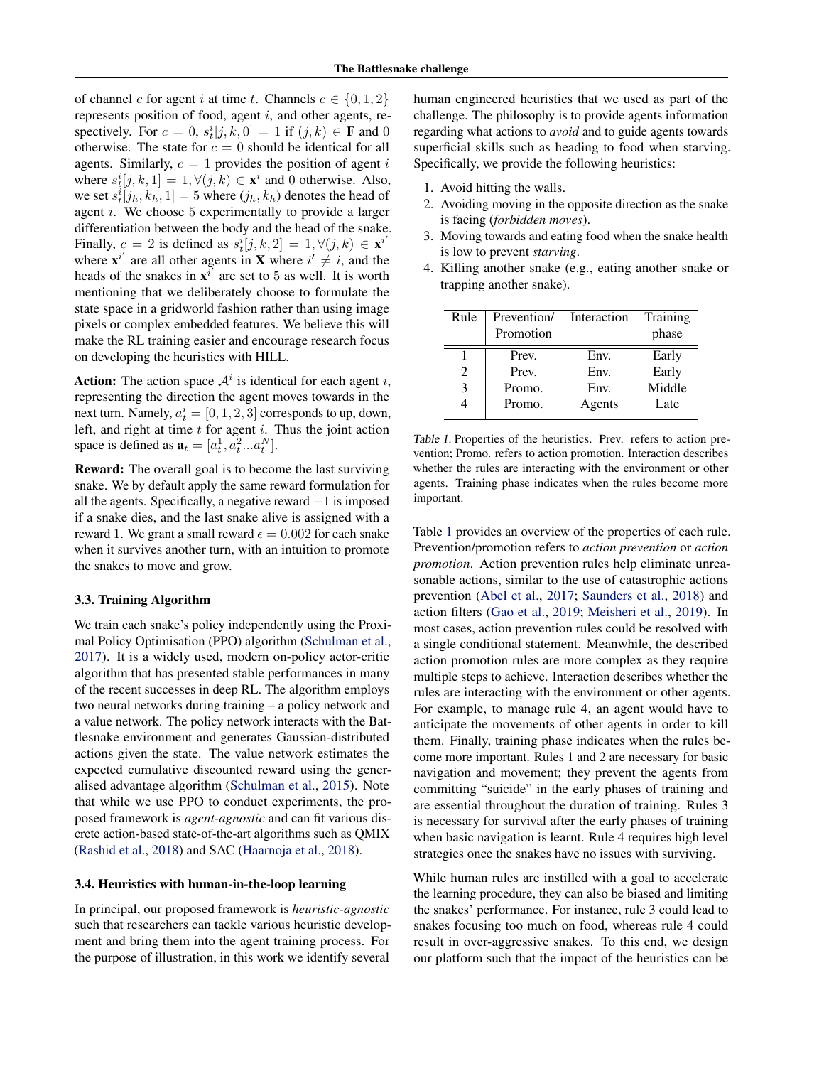<span id="page-3-0"></span>of channel c for agent i at time t. Channels  $c \in \{0, 1, 2\}$ represents position of food, agent  $i$ , and other agents, respectively. For  $c = 0$ ,  $s_t^i[j, k, 0] = 1$  if  $(j, k) \in \mathbf{F}$  and 0 otherwise. The state for  $c = 0$  should be identical for all agents. Similarly,  $c = 1$  provides the position of agent i where  $s_t^i[j, k, 1] = 1, \forall (j, k) \in \mathbf{x}^i$  and 0 otherwise. Also, we set  $s_t^i[j_h, k_h, 1] = 5$  where  $(j_h, k_h)$  denotes the head of agent i. We choose 5 experimentally to provide a larger differentiation between the body and the head of the snake. Finally,  $c = 2$  is defined as  $s_t^i[j, k, 2] = 1, \forall (j, k) \in \mathbf{x}^{i'}$ where  $\mathbf{x}^{i'}$  are all other agents in **X** where  $i' \neq i$ , and the heads of the snakes in  $\mathbf{x}^{i'}$  are set to 5 as well. It is worth mentioning that we deliberately choose to formulate the state space in a gridworld fashion rather than using image pixels or complex embedded features. We believe this will make the RL training easier and encourage research focus on developing the heuristics with HILL.

Action: The action space  $A^i$  is identical for each agent i, representing the direction the agent moves towards in the next turn. Namely,  $a_t^i = [0, 1, 2, 3]$  corresponds to up, down, left, and right at time  $t$  for agent  $i$ . Thus the joint action space is defined as  $\mathbf{a}_t = [a_t^1, a_t^2...a_t^N]$ .

Reward: The overall goal is to become the last surviving snake. We by default apply the same reward formulation for all the agents. Specifically, a negative reward  $-1$  is imposed if a snake dies, and the last snake alive is assigned with a reward 1. We grant a small reward  $\epsilon = 0.002$  for each snake when it survives another turn, with an intuition to promote the snakes to move and grow.

#### 3.3. Training Algorithm

We train each snake's policy independently using the Proximal Policy Optimisation (PPO) algorithm [\(Schulman et al.,](#page-8-0) [2017\)](#page-8-0). It is a widely used, modern on-policy actor-critic algorithm that has presented stable performances in many of the recent successes in deep RL. The algorithm employs two neural networks during training – a policy network and a value network. The policy network interacts with the Battlesnake environment and generates Gaussian-distributed actions given the state. The value network estimates the expected cumulative discounted reward using the generalised advantage algorithm [\(Schulman et al.,](#page-8-0) [2015\)](#page-8-0). Note that while we use PPO to conduct experiments, the proposed framework is *agent-agnostic* and can fit various discrete action-based state-of-the-art algorithms such as QMIX [\(Rashid et al.,](#page-7-0) [2018\)](#page-7-0) and SAC [\(Haarnoja et al.,](#page-7-0) [2018\)](#page-7-0).

#### 3.4. Heuristics with human-in-the-loop learning

In principal, our proposed framework is *heuristic-agnostic* such that researchers can tackle various heuristic development and bring them into the agent training process. For the purpose of illustration, in this work we identify several

human engineered heuristics that we used as part of the challenge. The philosophy is to provide agents information regarding what actions to *avoid* and to guide agents towards superficial skills such as heading to food when starving. Specifically, we provide the following heuristics:

- 1. Avoid hitting the walls.
- 2. Avoiding moving in the opposite direction as the snake is facing (*forbidden moves*).
- 3. Moving towards and eating food when the snake health is low to prevent *starving*.
- 4. Killing another snake (e.g., eating another snake or trapping another snake).

| Rule | Prevention/ Interaction<br>Promotion |        | Training<br>phase |
|------|--------------------------------------|--------|-------------------|
|      | Prev.                                | Env.   | Early             |
| 2    | Prev.                                | Env.   | Early             |
| 3    | Promo.                               | Env.   | Middle            |
|      | Promo.                               | Agents | Late              |

Table 1. Properties of the heuristics. Prev. refers to action prevention; Promo. refers to action promotion. Interaction describes whether the rules are interacting with the environment or other agents. Training phase indicates when the rules become more important.

Table 1 provides an overview of the properties of each rule. Prevention/promotion refers to *action prevention* or *action promotion*. Action prevention rules help eliminate unreasonable actions, similar to the use of catastrophic actions prevention [\(Abel et al.,](#page-6-0) [2017;](#page-6-0) [Saunders et al.,](#page-8-0) [2018\)](#page-8-0) and action filters [\(Gao et al.,](#page-7-0) [2019;](#page-7-0) [Meisheri et al.,](#page-7-0) [2019\)](#page-7-0). In most cases, action prevention rules could be resolved with a single conditional statement. Meanwhile, the described action promotion rules are more complex as they require multiple steps to achieve. Interaction describes whether the rules are interacting with the environment or other agents. For example, to manage rule 4, an agent would have to anticipate the movements of other agents in order to kill them. Finally, training phase indicates when the rules become more important. Rules 1 and 2 are necessary for basic navigation and movement; they prevent the agents from committing "suicide" in the early phases of training and are essential throughout the duration of training. Rules 3 is necessary for survival after the early phases of training when basic navigation is learnt. Rule 4 requires high level strategies once the snakes have no issues with surviving.

While human rules are instilled with a goal to accelerate the learning procedure, they can also be biased and limiting the snakes' performance. For instance, rule 3 could lead to snakes focusing too much on food, whereas rule 4 could result in over-aggressive snakes. To this end, we design our platform such that the impact of the heuristics can be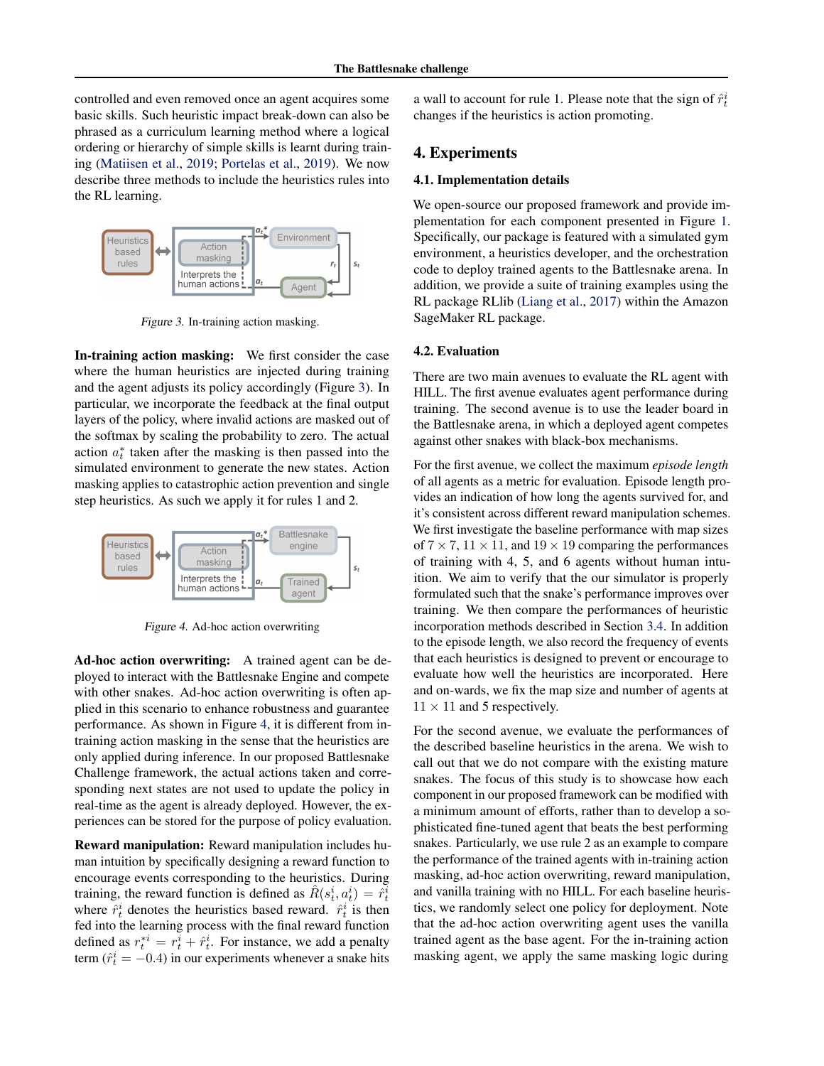controlled and even removed once an agent acquires some basic skills. Such heuristic impact break-down can also be phrased as a curriculum learning method where a logical ordering or hierarchy of simple skills is learnt during training [\(Matiisen et al.,](#page-7-0) [2019;](#page-7-0) [Portelas et al.,](#page-7-0) [2019\)](#page-7-0). We now describe three methods to include the heuristics rules into the RL learning.



Figure 3. In-training action masking.

In-training action masking: We first consider the case where the human heuristics are injected during training and the agent adjusts its policy accordingly (Figure 3). In particular, we incorporate the feedback at the final output layers of the policy, where invalid actions are masked out of the softmax by scaling the probability to zero. The actual action  $a_t^*$  taken after the masking is then passed into the simulated environment to generate the new states. Action masking applies to catastrophic action prevention and single step heuristics. As such we apply it for rules 1 and 2.



Figure 4. Ad-hoc action overwriting

Ad-hoc action overwriting: A trained agent can be deployed to interact with the Battlesnake Engine and compete with other snakes. Ad-hoc action overwriting is often applied in this scenario to enhance robustness and guarantee performance. As shown in Figure 4, it is different from intraining action masking in the sense that the heuristics are only applied during inference. In our proposed Battlesnake Challenge framework, the actual actions taken and corresponding next states are not used to update the policy in real-time as the agent is already deployed. However, the experiences can be stored for the purpose of policy evaluation.

Reward manipulation: Reward manipulation includes human intuition by specifically designing a reward function to encourage events corresponding to the heuristics. During training, the reward function is defined as  $\hat{R}(s_t^i, a_t^i) = \hat{r}_t^i$ where  $\hat{r}_t^i$  denotes the heuristics based reward.  $\hat{r}_t^i$  is then fed into the learning process with the final reward function defined as  $r_t^{*i} = r_t^i + \hat{r}_t^i$ . For instance, we add a penalty term ( $\hat{r}_t^i = -0.4$ ) in our experiments whenever a snake hits

a wall to account for rule 1. Please note that the sign of  $\hat{r}_t^i$ changes if the heuristics is action promoting.

# 4. Experiments

#### 4.1. Implementation details

We open-source our proposed framework and provide implementation for each component presented in Figure [1.](#page-2-0) Specifically, our package is featured with a simulated gym environment, a heuristics developer, and the orchestration code to deploy trained agents to the Battlesnake arena. In addition, we provide a suite of training examples using the RL package RLlib [\(Liang et al.,](#page-7-0) [2017\)](#page-7-0) within the Amazon SageMaker RL package.

#### 4.2. Evaluation

There are two main avenues to evaluate the RL agent with HILL. The first avenue evaluates agent performance during training. The second avenue is to use the leader board in the Battlesnake arena, in which a deployed agent competes against other snakes with black-box mechanisms.

For the first avenue, we collect the maximum *episode length* of all agents as a metric for evaluation. Episode length provides an indication of how long the agents survived for, and it's consistent across different reward manipulation schemes. We first investigate the baseline performance with map sizes of  $7 \times 7$ ,  $11 \times 11$ , and  $19 \times 19$  comparing the performances of training with 4, 5, and 6 agents without human intuition. We aim to verify that the our simulator is properly formulated such that the snake's performance improves over training. We then compare the performances of heuristic incorporation methods described in Section [3.4.](#page-3-0) In addition to the episode length, we also record the frequency of events that each heuristics is designed to prevent or encourage to evaluate how well the heuristics are incorporated. Here and on-wards, we fix the map size and number of agents at  $11 \times 11$  and 5 respectively.

For the second avenue, we evaluate the performances of the described baseline heuristics in the arena. We wish to call out that we do not compare with the existing mature snakes. The focus of this study is to showcase how each component in our proposed framework can be modified with a minimum amount of efforts, rather than to develop a sophisticated fine-tuned agent that beats the best performing snakes. Particularly, we use rule 2 as an example to compare the performance of the trained agents with in-training action masking, ad-hoc action overwriting, reward manipulation, and vanilla training with no HILL. For each baseline heuristics, we randomly select one policy for deployment. Note that the ad-hoc action overwriting agent uses the vanilla trained agent as the base agent. For the in-training action masking agent, we apply the same masking logic during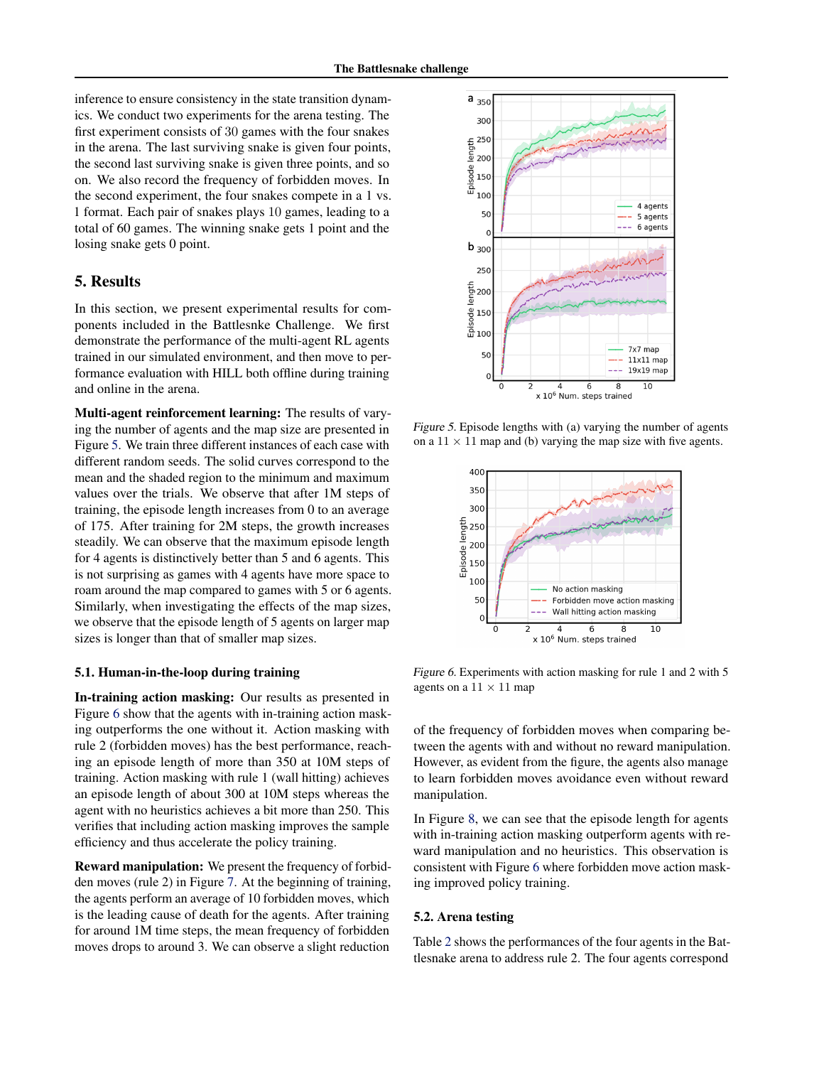<span id="page-5-0"></span>inference to ensure consistency in the state transition dynamics. We conduct two experiments for the arena testing. The first experiment consists of 30 games with the four snakes in the arena. The last surviving snake is given four points, the second last surviving snake is given three points, and so on. We also record the frequency of forbidden moves. In the second experiment, the four snakes compete in a 1 vs. 1 format. Each pair of snakes plays 10 games, leading to a total of 60 games. The winning snake gets 1 point and the losing snake gets 0 point.

# 5. Results

In this section, we present experimental results for components included in the Battlesnke Challenge. We first demonstrate the performance of the multi-agent RL agents trained in our simulated environment, and then move to performance evaluation with HILL both offline during training and online in the arena.

Multi-agent reinforcement learning: The results of varying the number of agents and the map size are presented in Figure 5. We train three different instances of each case with different random seeds. The solid curves correspond to the mean and the shaded region to the minimum and maximum values over the trials. We observe that after 1M steps of training, the episode length increases from 0 to an average of 175. After training for 2M steps, the growth increases steadily. We can observe that the maximum episode length for 4 agents is distinctively better than 5 and 6 agents. This is not surprising as games with 4 agents have more space to roam around the map compared to games with 5 or 6 agents. Similarly, when investigating the effects of the map sizes, we observe that the episode length of 5 agents on larger map sizes is longer than that of smaller map sizes.

#### 5.1. Human-in-the-loop during training

In-training action masking: Our results as presented in Figure 6 show that the agents with in-training action masking outperforms the one without it. Action masking with rule 2 (forbidden moves) has the best performance, reaching an episode length of more than 350 at 10M steps of training. Action masking with rule 1 (wall hitting) achieves an episode length of about 300 at 10M steps whereas the agent with no heuristics achieves a bit more than 250. This verifies that including action masking improves the sample efficiency and thus accelerate the policy training.

Reward manipulation: We present the frequency of forbidden moves (rule 2) in Figure [7.](#page-6-0) At the beginning of training, the agents perform an average of 10 forbidden moves, which is the leading cause of death for the agents. After training for around 1M time steps, the mean frequency of forbidden moves drops to around 3. We can observe a slight reduction



Figure 5. Episode lengths with (a) varying the number of agents on a  $11 \times 11$  map and (b) varying the map size with five agents.



Figure 6. Experiments with action masking for rule 1 and 2 with 5 agents on a  $11 \times 11$  map

of the frequency of forbidden moves when comparing between the agents with and without no reward manipulation. However, as evident from the figure, the agents also manage to learn forbidden moves avoidance even without reward manipulation.

In Figure [8,](#page-6-0) we can see that the episode length for agents with in-training action masking outperform agents with reward manipulation and no heuristics. This observation is consistent with Figure 6 where forbidden move action masking improved policy training.

#### 5.2. Arena testing

Table [2](#page-6-0) shows the performances of the four agents in the Battlesnake arena to address rule 2. The four agents correspond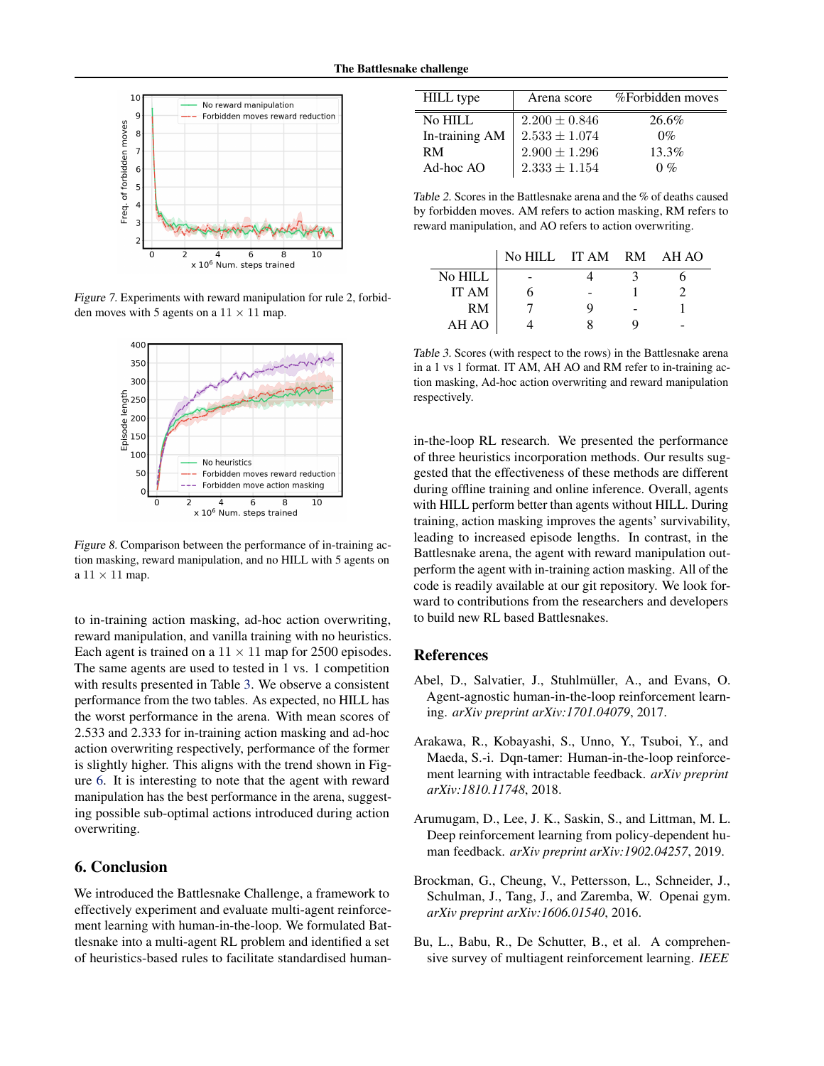<span id="page-6-0"></span>

Figure 7. Experiments with reward manipulation for rule 2, forbidden moves with 5 agents on a  $11 \times 11$  map.



Figure 8. Comparison between the performance of in-training action masking, reward manipulation, and no HILL with 5 agents on a  $11 \times 11$  map.

to in-training action masking, ad-hoc action overwriting, reward manipulation, and vanilla training with no heuristics. Each agent is trained on a  $11 \times 11$  map for 2500 episodes. The same agents are used to tested in 1 vs. 1 competition with results presented in Table 3. We observe a consistent performance from the two tables. As expected, no HILL has the worst performance in the arena. With mean scores of 2.533 and 2.333 for in-training action masking and ad-hoc action overwriting respectively, performance of the former is slightly higher. This aligns with the trend shown in Figure [6.](#page-5-0) It is interesting to note that the agent with reward manipulation has the best performance in the arena, suggesting possible sub-optimal actions introduced during action overwriting.

# 6. Conclusion

We introduced the Battlesnake Challenge, a framework to effectively experiment and evaluate multi-agent reinforcement learning with human-in-the-loop. We formulated Battlesnake into a multi-agent RL problem and identified a set of heuristics-based rules to facilitate standardised human-

| <b>HILL</b> type | Arena score       | %Forbidden moves |
|------------------|-------------------|------------------|
| No HILL          | $2.200 \pm 0.846$ | 26.6%            |
| In-training AM   | $2.533 \pm 1.074$ | $0\%$            |
| <b>RM</b>        | $2.900 \pm 1.296$ | $13.3\%$         |
| $Ad-hoc$ AO      | $2.333 \pm 1.154$ | $0\%$            |

Table 2. Scores in the Battlesnake arena and the % of deaths caused by forbidden moves. AM refers to action masking, RM refers to reward manipulation, and AO refers to action overwriting.

|         | No HILL IT AM RM AH AO |   |  |
|---------|------------------------|---|--|
| No HILL |                        |   |  |
| IT AM   |                        |   |  |
| RM      |                        | q |  |
| AH AO   |                        |   |  |

Table 3. Scores (with respect to the rows) in the Battlesnake arena in a 1 vs 1 format. IT AM, AH AO and RM refer to in-training action masking, Ad-hoc action overwriting and reward manipulation respectively.

in-the-loop RL research. We presented the performance of three heuristics incorporation methods. Our results suggested that the effectiveness of these methods are different during offline training and online inference. Overall, agents with HILL perform better than agents without HILL. During training, action masking improves the agents' survivability, leading to increased episode lengths. In contrast, in the Battlesnake arena, the agent with reward manipulation outperform the agent with in-training action masking. All of the code is readily available at our git repository. We look forward to contributions from the researchers and developers to build new RL based Battlesnakes.

## References

- Abel, D., Salvatier, J., Stuhlmüller, A., and Evans, O. Agent-agnostic human-in-the-loop reinforcement learning. *arXiv preprint arXiv:1701.04079*, 2017.
- Arakawa, R., Kobayashi, S., Unno, Y., Tsuboi, Y., and Maeda, S.-i. Dqn-tamer: Human-in-the-loop reinforcement learning with intractable feedback. *arXiv preprint arXiv:1810.11748*, 2018.
- Arumugam, D., Lee, J. K., Saskin, S., and Littman, M. L. Deep reinforcement learning from policy-dependent human feedback. *arXiv preprint arXiv:1902.04257*, 2019.
- Brockman, G., Cheung, V., Pettersson, L., Schneider, J., Schulman, J., Tang, J., and Zaremba, W. Openai gym. *arXiv preprint arXiv:1606.01540*, 2016.
- Bu, L., Babu, R., De Schutter, B., et al. A comprehensive survey of multiagent reinforcement learning. *IEEE*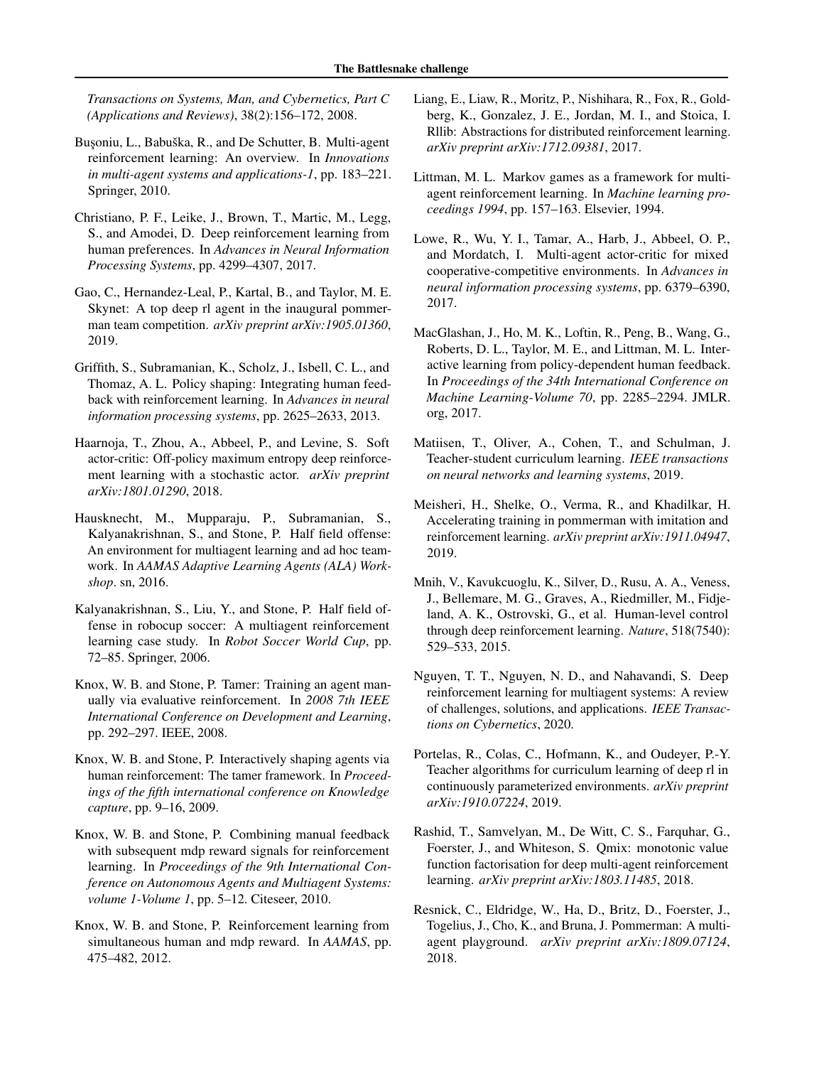<span id="page-7-0"></span>*Transactions on Systems, Man, and Cybernetics, Part C (Applications and Reviews)*, 38(2):156–172, 2008.

- Busoniu, L., Babuška, R., and De Schutter, B. Multi-agent reinforcement learning: An overview. In *Innovations in multi-agent systems and applications-1*, pp. 183–221. Springer, 2010.
- Christiano, P. F., Leike, J., Brown, T., Martic, M., Legg, S., and Amodei, D. Deep reinforcement learning from human preferences. In *Advances in Neural Information Processing Systems*, pp. 4299–4307, 2017.
- Gao, C., Hernandez-Leal, P., Kartal, B., and Taylor, M. E. Skynet: A top deep rl agent in the inaugural pommerman team competition. *arXiv preprint arXiv:1905.01360*, 2019.
- Griffith, S., Subramanian, K., Scholz, J., Isbell, C. L., and Thomaz, A. L. Policy shaping: Integrating human feedback with reinforcement learning. In *Advances in neural information processing systems*, pp. 2625–2633, 2013.
- Haarnoja, T., Zhou, A., Abbeel, P., and Levine, S. Soft actor-critic: Off-policy maximum entropy deep reinforcement learning with a stochastic actor. *arXiv preprint arXiv:1801.01290*, 2018.
- Hausknecht, M., Mupparaju, P., Subramanian, S., Kalyanakrishnan, S., and Stone, P. Half field offense: An environment for multiagent learning and ad hoc teamwork. In *AAMAS Adaptive Learning Agents (ALA) Workshop*. sn, 2016.
- Kalyanakrishnan, S., Liu, Y., and Stone, P. Half field offense in robocup soccer: A multiagent reinforcement learning case study. In *Robot Soccer World Cup*, pp. 72–85. Springer, 2006.
- Knox, W. B. and Stone, P. Tamer: Training an agent manually via evaluative reinforcement. In *2008 7th IEEE International Conference on Development and Learning*, pp. 292–297. IEEE, 2008.
- Knox, W. B. and Stone, P. Interactively shaping agents via human reinforcement: The tamer framework. In *Proceedings of the fifth international conference on Knowledge capture*, pp. 9–16, 2009.
- Knox, W. B. and Stone, P. Combining manual feedback with subsequent mdp reward signals for reinforcement learning. In *Proceedings of the 9th International Conference on Autonomous Agents and Multiagent Systems: volume 1-Volume 1*, pp. 5–12. Citeseer, 2010.
- Knox, W. B. and Stone, P. Reinforcement learning from simultaneous human and mdp reward. In *AAMAS*, pp. 475–482, 2012.
- Liang, E., Liaw, R., Moritz, P., Nishihara, R., Fox, R., Goldberg, K., Gonzalez, J. E., Jordan, M. I., and Stoica, I. Rllib: Abstractions for distributed reinforcement learning. *arXiv preprint arXiv:1712.09381*, 2017.
- Littman, M. L. Markov games as a framework for multiagent reinforcement learning. In *Machine learning proceedings 1994*, pp. 157–163. Elsevier, 1994.
- Lowe, R., Wu, Y. I., Tamar, A., Harb, J., Abbeel, O. P., and Mordatch, I. Multi-agent actor-critic for mixed cooperative-competitive environments. In *Advances in neural information processing systems*, pp. 6379–6390, 2017.
- MacGlashan, J., Ho, M. K., Loftin, R., Peng, B., Wang, G., Roberts, D. L., Taylor, M. E., and Littman, M. L. Interactive learning from policy-dependent human feedback. In *Proceedings of the 34th International Conference on Machine Learning-Volume 70*, pp. 2285–2294. JMLR. org, 2017.
- Matiisen, T., Oliver, A., Cohen, T., and Schulman, J. Teacher-student curriculum learning. *IEEE transactions on neural networks and learning systems*, 2019.
- Meisheri, H., Shelke, O., Verma, R., and Khadilkar, H. Accelerating training in pommerman with imitation and reinforcement learning. *arXiv preprint arXiv:1911.04947*, 2019.
- Mnih, V., Kavukcuoglu, K., Silver, D., Rusu, A. A., Veness, J., Bellemare, M. G., Graves, A., Riedmiller, M., Fidjeland, A. K., Ostrovski, G., et al. Human-level control through deep reinforcement learning. *Nature*, 518(7540): 529–533, 2015.
- Nguyen, T. T., Nguyen, N. D., and Nahavandi, S. Deep reinforcement learning for multiagent systems: A review of challenges, solutions, and applications. *IEEE Transactions on Cybernetics*, 2020.
- Portelas, R., Colas, C., Hofmann, K., and Oudeyer, P.-Y. Teacher algorithms for curriculum learning of deep rl in continuously parameterized environments. *arXiv preprint arXiv:1910.07224*, 2019.
- Rashid, T., Samvelyan, M., De Witt, C. S., Farquhar, G., Foerster, J., and Whiteson, S. Qmix: monotonic value function factorisation for deep multi-agent reinforcement learning. *arXiv preprint arXiv:1803.11485*, 2018.
- Resnick, C., Eldridge, W., Ha, D., Britz, D., Foerster, J., Togelius, J., Cho, K., and Bruna, J. Pommerman: A multiagent playground. *arXiv preprint arXiv:1809.07124*, 2018.